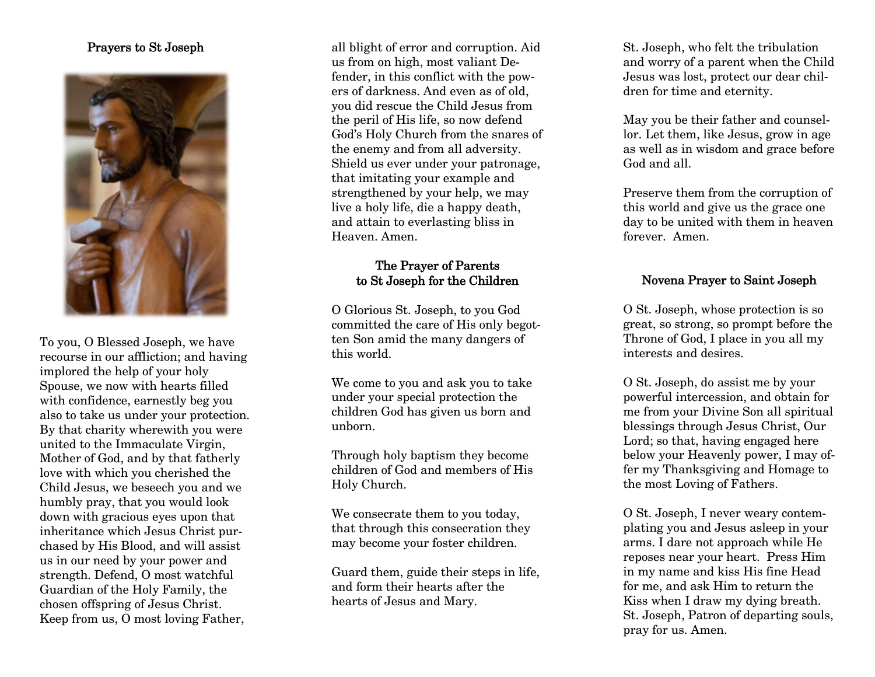#### **Prayers to St Joseph**



T o you, O Blessed Joseph, we have recourse in our affliction; and having implored the help of your holy Spouse, we now with hearts filled with confidence, earnestly beg you also to take us under your protection. By that charity wherewith you were united to the Immaculate Virgin, Mother of God, and by that fatherly love with which you cherished the Child Jesus, we beseech you and we humbly pray, that you would look down with gracious eyes upon that inheritance which Jesus Christ purchased by His Blood, and will assist us in our need by your power and strength. Defend, O most watchful Guardian of the Holy Family, the chosen offspring of Jesus Christ. Keep from us, O most loving Father,

all blight of error and corruption. Aid us from on high, most valiant Defender, in this conflict with the powers of darkness. And even as of old, you did rescue the Child Jesus from the peril of His life, so now defend God ' s Holy Church from the snares of the enemy and from all adversity. Shield us ever under your patronage, that imitating your example and strengthened by your help, we may live a holy life, die a happy death, and attain to everlasting bliss in Heaven. Amen.

# **The Prayer of Parents to St Joseph for the Children**

O Glorious St . Joseph, to you God committed the care of His only begotten Son amid the many dangers of this world.

We come to you and ask you to take under your special protection the children God has given us born and unborn.

Through holy baptism they become children of God and members of His Holy Church.

We consecrate them to you today, that through this consecration they may become your foster children.

Guard them, guide their steps in life, and form their hearts after the hearts of Jesus and Mary.

St . Joseph, who felt the tribulation and worry of a parent when the Child Jesus was lost, protect our dear children for time and eternity.

May you be their father and counsellor. Let them, like Jesus, grow in age as well as in wisdom and grace before God and all .

Preserve them from the corruption of this world and give us the grace one day to be united with them in heaven forever. Amen.

## **Novena Prayer to Saint Joseph**

O S t . Joseph, whose protection is so great, so strong, so prompt before the Throne of God, I place in yo u all my interests and desires .

O S t . Joseph, do assist me by your powerful intercession, and obtain for me from your Divine Son all spiritual blessings through Jesus Christ, Our Lord; so that, having engaged here below your Heavenly power, I may offer my Thanksgiving and Homage to the most Loving of Fathers.

O S t . Joseph, I never weary contemplating you and Jesus asleep in your arms. I dare not approach while He reposes near your heart. Press Him in my name and kiss His fine Head for me, and ask Him to return the Kiss when I draw my dying breath. S t . Joseph , Patron of departing souls, pray for us. Amen.